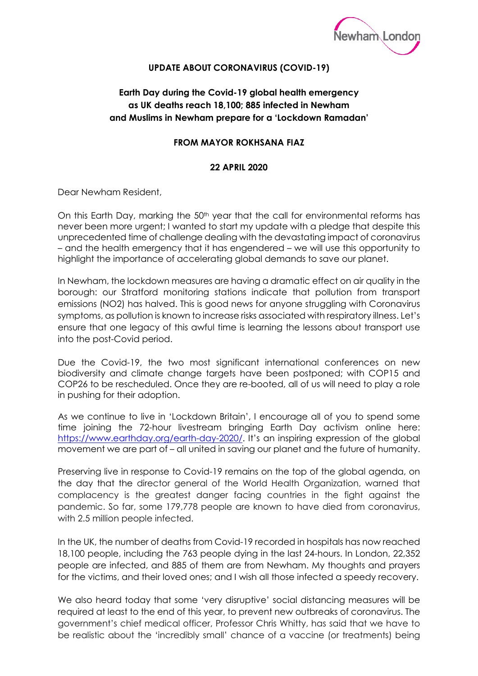

## **UPDATE ABOUT CORONAVIRUS (COVID-19)**

## **Earth Day during the Covid-19 global health emergency as UK deaths reach 18,100; 885 infected in Newham and Muslims in Newham prepare for a 'Lockdown Ramadan'**

## **FROM MAYOR ROKHSANA FIAZ**

## **22 APRIL 2020**

Dear Newham Resident,

On this Earth Day, marking the 50<sup>th</sup> year that the call for environmental reforms has never been more urgent; I wanted to start my update with a pledge that despite this unprecedented time of challenge dealing with the devastating impact of coronavirus – and the health emergency that it has engendered – we will use this opportunity to highlight the importance of accelerating global demands to save our planet.

In Newham, the lockdown measures are having a dramatic effect on air quality in the borough: our Stratford monitoring stations indicate that pollution from transport emissions (NO2) has halved. This is good news for anyone struggling with Coronavirus symptoms, as pollution is known to increase risks associated with respiratory illness. Let's ensure that one legacy of this awful time is learning the lessons about transport use into the post-Covid period.

Due the Covid-19, the two most significant international conferences on new biodiversity and climate change targets have been postponed; with COP15 and COP26 to be rescheduled. Once they are re-booted, all of us will need to play a role in pushing for their adoption.

As we continue to live in 'Lockdown Britain', I encourage all of you to spend some time joining the 72-hour livestream bringing Earth Day activism online here: [https://www.earthday.org/earth-day-2020/.](https://www.earthday.org/earth-day-2020/) It's an inspiring expression of the global movement we are part of – all united in saving our planet and the future of humanity.

Preserving live in response to Covid-19 remains on the top of the global agenda, on the day that the director general of the World Health Organization, warned that complacency is the greatest danger facing countries in the fight against the pandemic. So far, some 179,778 people are known to have died from coronavirus, with 2.5 million people infected.

In the UK, the number of deaths from Covid-19 recorded in hospitals has now reached 18,100 people, including the 763 people dying in the last 24-hours. In London, 22,352 people are infected, and 885 of them are from Newham. My thoughts and prayers for the victims, and their loved ones; and I wish all those infected a speedy recovery.

We also heard today that some 'very disruptive' social distancing measures will be required at least to the end of this year, to prevent new outbreaks of coronavirus. The government's chief medical officer, Professor Chris Whitty, has said that we have to be realistic about the 'incredibly small' chance of a vaccine (or treatments) being